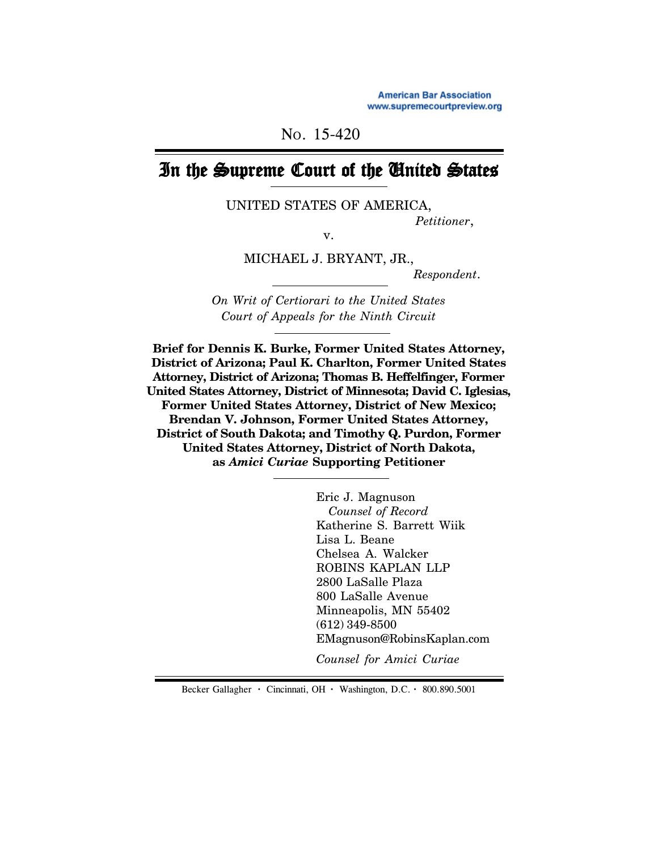NO. 15-420

# In the Supreme Court of the United States

UNITED STATES OF AMERICA,

*Petitioner*,

v.

MICHAEL J. BRYANT, JR.,

 *Respondent*.

*On Writ of Certiorari to the United States Court of Appeals for the Ninth Circuit*

**Brief for Dennis K. Burke, Former United States Attorney, District of Arizona; Paul K. Charlton, Former United States Attorney, District of Arizona; Thomas B. Heffelfinger, Former United States Attorney, District of Minnesota; David C. Iglesias, Former United States Attorney, District of New Mexico; Brendan V. Johnson, Former United States Attorney, District of South Dakota; and Timothy Q. Purdon, Former United States Attorney, District of North Dakota, as** *Amici Curiae* **Supporting Petitioner**

> Eric J. Magnuson  *Counsel of Record* Katherine S. Barrett Wiik Lisa L. Beane Chelsea A. Walcker ROBINS KAPLAN LLP 2800 LaSalle Plaza 800 LaSalle Avenue Minneapolis, MN 55402 (612) 349-8500 EMagnuson@RobinsKaplan.com

*Counsel for Amici Curiae*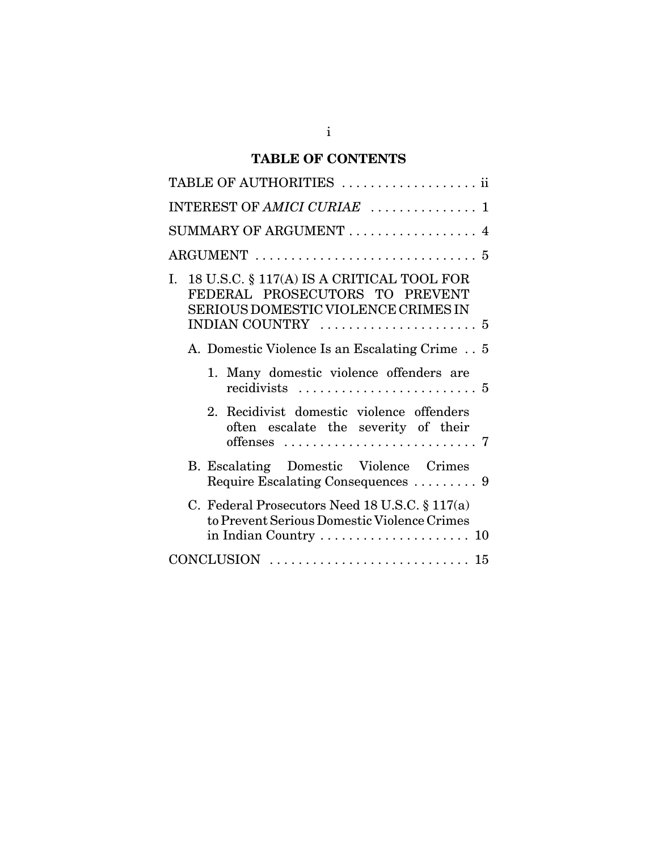## **TABLE OF CONTENTS**

| TABLE OF AUTHORITIES  ii                                                                                                                                                                 |
|------------------------------------------------------------------------------------------------------------------------------------------------------------------------------------------|
| INTEREST OF AMICI CURIAE  1                                                                                                                                                              |
| SUMMARY OF ARGUMENT<br>4                                                                                                                                                                 |
| $\text{ARGUMENT}\ \dots\dots\dots\dots\dots\dots\dots\dots\dots\dots\dots$<br>5                                                                                                          |
| I. 18 U.S.C. $\S$ 117(A) IS A CRITICAL TOOL FOR<br>FEDERAL PROSECUTORS TO PREVENT<br>SERIOUS DOMESTIC VIOLENCE CRIMES IN<br>INDIAN COUNTRY $\ldots \ldots \ldots \ldots \ldots \ldots 5$ |
| A. Domestic Violence Is an Escalating Crime 5                                                                                                                                            |
| 1. Many domestic violence offenders are                                                                                                                                                  |
| Recidivist domestic violence offenders<br>$2^{\circ}$<br>often escalate the severity of their<br>offenses $\ldots \ldots \ldots \ldots \ldots \ldots \ldots \ldots 7$                    |
| B. Escalating Domestic Violence Crimes                                                                                                                                                   |
| C. Federal Prosecutors Need 18 U.S.C. $\S 117(a)$<br>to Prevent Serious Domestic Violence Crimes                                                                                         |
|                                                                                                                                                                                          |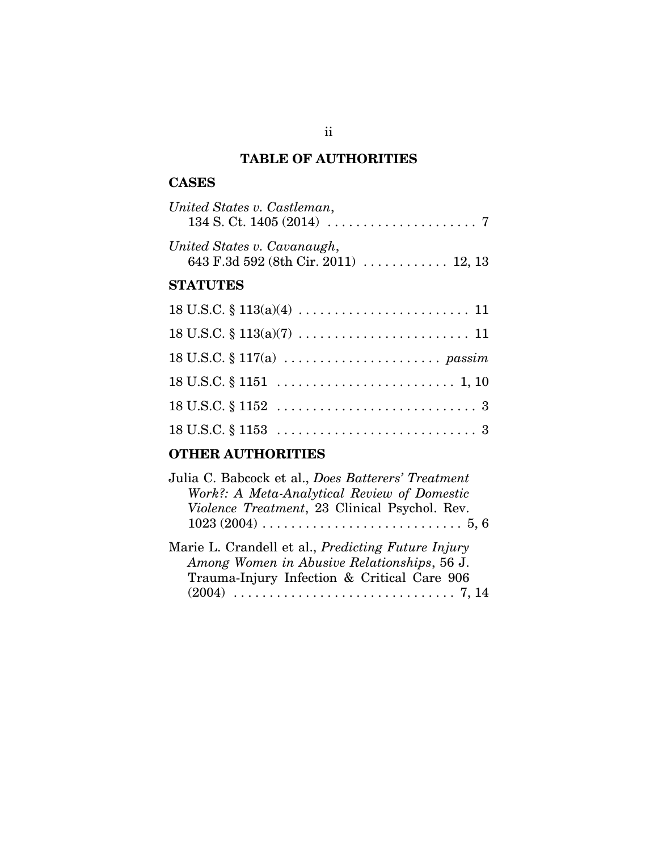## **TABLE OF AUTHORITIES**

### **CASES**

| United States v. Castleman,                                         |  |
|---------------------------------------------------------------------|--|
| United States v. Cavanaugh,<br>643 F.3d 592 (8th Cir. 2011)  12, 13 |  |

## **STATUTES**

## **OTHER AUTHORITIES**

| Julia C. Babcock et al., Does Batterers' Treatment<br>Work?: A Meta-Analytical Review of Domestic<br>Violence Treatment, 23 Clinical Psychol. Rev.      |
|---------------------------------------------------------------------------------------------------------------------------------------------------------|
| Marie L. Crandell et al., <i>Predicting Future Injury</i><br>Among Women in Abusive Relationships, 56 J.<br>Trauma-Injury Infection & Critical Care 906 |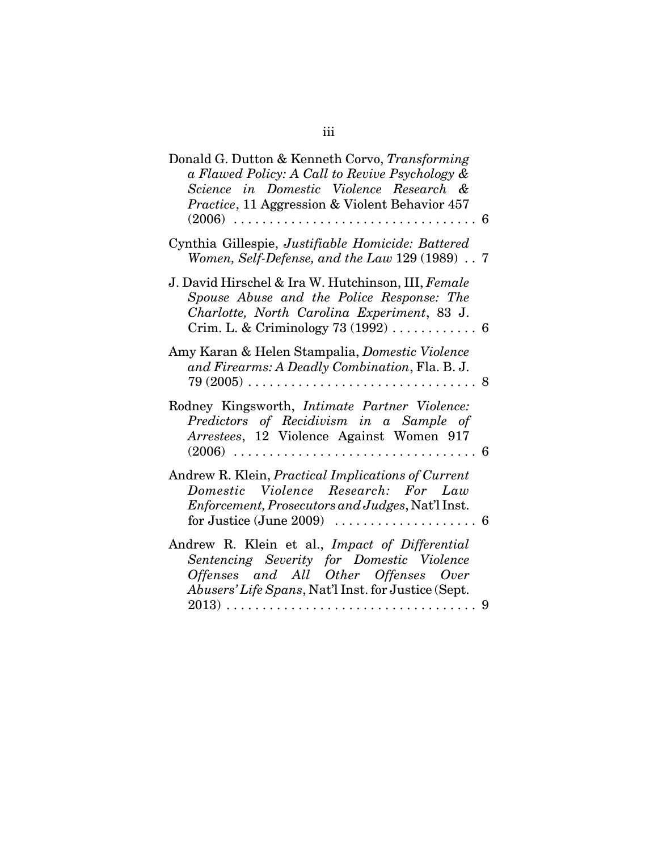| Donald G. Dutton & Kenneth Corvo, Transforming<br>a Flawed Policy: A Call to Revive Psychology &<br>Science in Domestic Violence Research &<br><i>Practice</i> , 11 Aggression & Violent Behavior 457<br>$(2006)$<br>. . 6<br>$\cdot$<br>$\ddot{\phantom{a}}$ |
|---------------------------------------------------------------------------------------------------------------------------------------------------------------------------------------------------------------------------------------------------------------|
| Cynthia Gillespie, Justifiable Homicide: Battered<br>Women, Self-Defense, and the Law 129 (1989) 7                                                                                                                                                            |
| J. David Hirschel & Ira W. Hutchinson, III, Female<br>Spouse Abuse and the Police Response: The<br>Charlotte, North Carolina Experiment, 83 J.                                                                                                                |
| Amy Karan & Helen Stampalia, <i>Domestic Violence</i><br>and Firearms: A Deadly Combination, Fla. B. J.<br>$79\ (2005) \ldots \ldots \ldots \ldots \ldots \ldots \ldots \ldots \ldots \ldots$<br>. . 8                                                        |
| Rodney Kingsworth, Intimate Partner Violence:<br>Predictors of Recidivism in a Sample of<br>Arrestees, 12 Violence Against Women 917<br>$(2006)$ .<br>. . 6                                                                                                   |
| Andrew R. Klein, Practical Implications of Current<br>Domestic Violence Research: For Law<br>Enforcement, Prosecutors and Judges, Nat'l Inst.                                                                                                                 |
| Andrew R. Klein et al., Impact of Differential<br>Sentencing Severity for Domestic Violence<br>Offenses and All Other Offenses Over<br>Abusers' Life Spans, Nat'l Inst. for Justice (Sept.<br>$2013) \ldots \ldots \ldots \ldots \ldots \ldots \ldots$<br>-9  |
| .                                                                                                                                                                                                                                                             |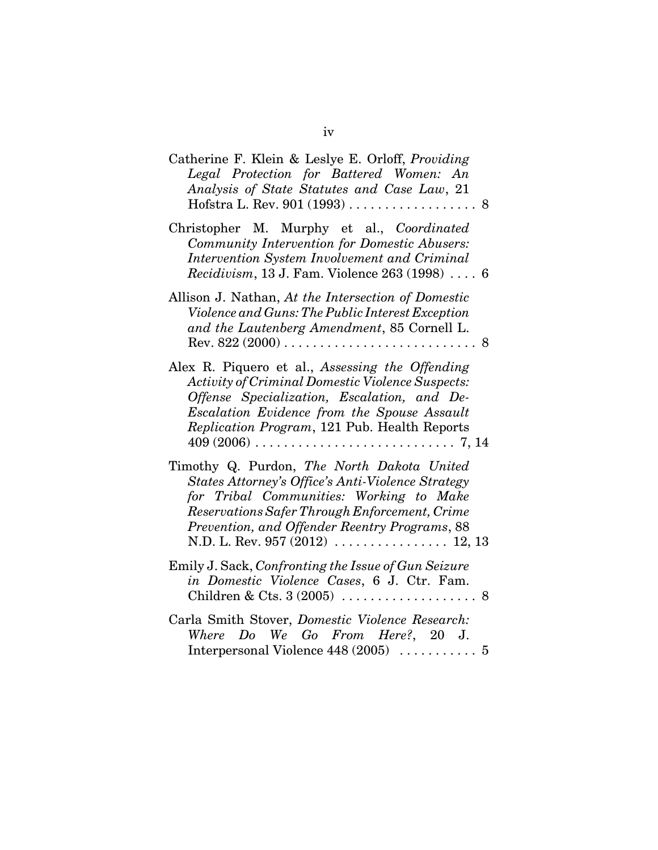| Catherine F. Klein & Leslye E. Orloff, Providing<br>Legal Protection for Battered Women: An<br>Analysis of State Statutes and Case Law, 21                                                                                                               |
|----------------------------------------------------------------------------------------------------------------------------------------------------------------------------------------------------------------------------------------------------------|
| Christopher M. Murphy et al., Coordinated<br>Community Intervention for Domestic Abusers:<br>Intervention System Involvement and Criminal<br>Recidivism, 13 J. Fam. Violence 263 (1998)  6                                                               |
| Allison J. Nathan, At the Intersection of Domestic<br>Violence and Guns: The Public Interest Exception<br>and the Lautenberg Amendment, 85 Cornell L.<br>Rev. $822(2000)$<br>. . 8                                                                       |
| Alex R. Piquero et al., Assessing the Offending<br><b>Activity of Criminal Domestic Violence Suspects:</b><br>Offense Specialization, Escalation, and De-<br>Escalation Evidence from the Spouse Assault<br>Replication Program, 121 Pub. Health Reports |
| Timothy Q. Purdon, The North Dakota United<br><b>States Attorney's Office's Anti-Violence Strategy</b><br>for Tribal Communities: Working to Make<br>Reservations Safer Through Enforcement, Crime<br>Prevention, and Offender Reentry Programs, 88      |
| Emily J. Sack, Confronting the Issue of Gun Seizure<br>in Domestic Violence Cases, 6 J. Ctr. Fam.                                                                                                                                                        |
|                                                                                                                                                                                                                                                          |

| Carla Smith Stover, Domestic Violence Research: |  |  |                                                         |  |  |
|-------------------------------------------------|--|--|---------------------------------------------------------|--|--|
|                                                 |  |  | Where Do We Go From Here?, 20 J.                        |  |  |
|                                                 |  |  | Interpersonal Violence 448 (2005) $\dots \dots \dots 5$ |  |  |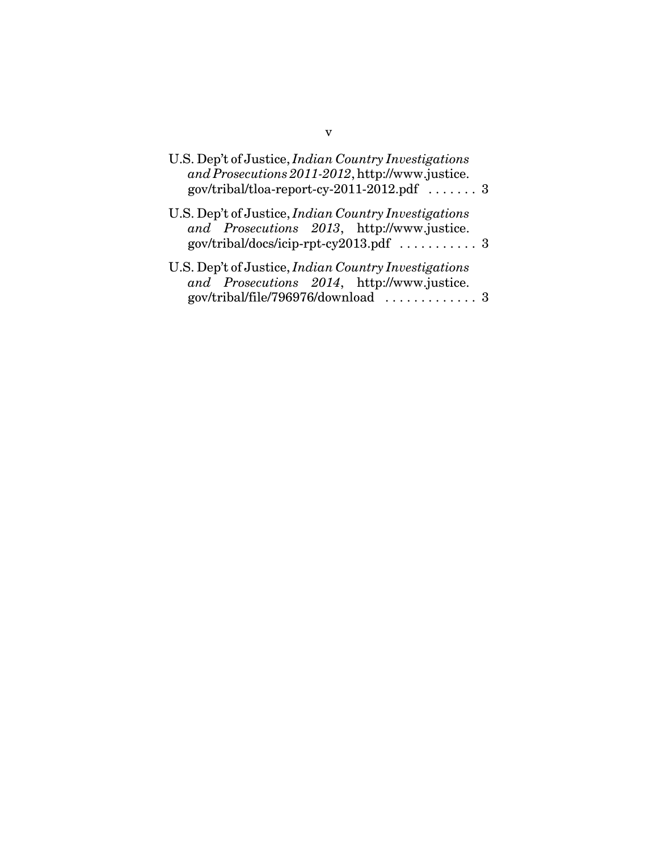| U.S. Dep't of Justice, <i>Indian Country Investigations</i><br>and Prosecutions 2011-2012, http://www.justice.<br>$gov/tribal/tloa-report-cy-2011-2012.pdf$ 3 |  |
|---------------------------------------------------------------------------------------------------------------------------------------------------------------|--|
| U.S. Dep't of Justice, <i>Indian Country Investigations</i><br>and Prosecutions 2013, http://www.justice.                                                     |  |
| U.S. Dep't of Justice, <i>Indian Country Investigations</i><br>and Prosecutions 2014, http://www.justice.<br>gov/tribal/file/796976/download  3               |  |

v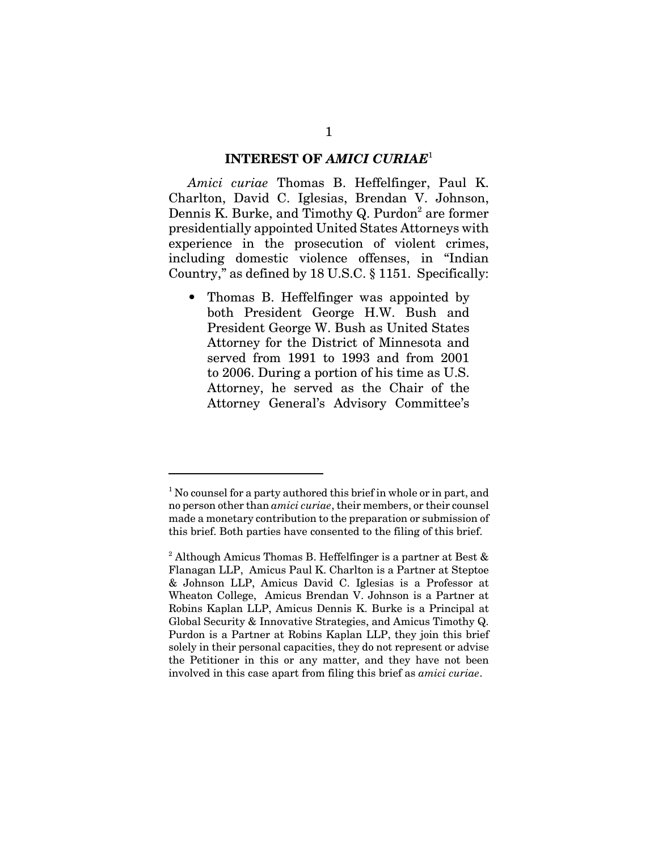#### **INTEREST OF** *AMICI CURIAE*<sup>1</sup>

*Amici curiae* Thomas B. Heffelfinger, Paul K. Charlton, David C. Iglesias, Brendan V. Johnson, Dennis K. Burke, and Timothy Q. Purdon<sup>2</sup> are former presidentially appointed United States Attorneys with experience in the prosecution of violent crimes, including domestic violence offenses, in "Indian Country," as defined by 18 U.S.C. § 1151. Specifically:

• Thomas B. Heffelfinger was appointed by both President George H.W. Bush and President George W. Bush as United States Attorney for the District of Minnesota and served from 1991 to 1993 and from 2001 to 2006. During a portion of his time as U.S. Attorney, he served as the Chair of the Attorney General's Advisory Committee's

<sup>&</sup>lt;sup>1</sup> No counsel for a party authored this brief in whole or in part, and no person other than *amici curiae*, their members, or their counsel made a monetary contribution to the preparation or submission of this brief. Both parties have consented to the filing of this brief.

<sup>&</sup>lt;sup>2</sup> Although Amicus Thomas B. Heffelfinger is a partner at Best & Flanagan LLP, Amicus Paul K. Charlton is a Partner at Steptoe & Johnson LLP, Amicus David C. Iglesias is a Professor at Wheaton College, Amicus Brendan V. Johnson is a Partner at Robins Kaplan LLP, Amicus Dennis K. Burke is a Principal at Global Security & Innovative Strategies, and Amicus Timothy Q. Purdon is a Partner at Robins Kaplan LLP, they join this brief solely in their personal capacities, they do not represent or advise the Petitioner in this or any matter, and they have not been involved in this case apart from filing this brief as *amici curiae*.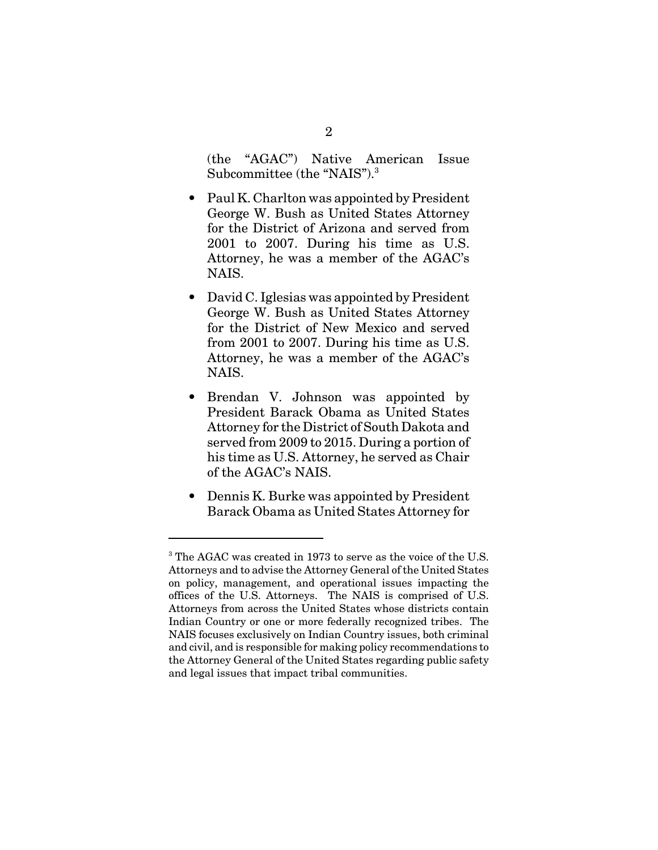(the "AGAC") Native American Issue Subcommittee (the "NAIS").<sup>3</sup>

- Paul K. Charlton was appointed by President George W. Bush as United States Attorney for the District of Arizona and served from 2001 to 2007. During his time as U.S. Attorney, he was a member of the AGAC's NAIS.
- David C. Iglesias was appointed by President George W. Bush as United States Attorney for the District of New Mexico and served from 2001 to 2007. During his time as U.S. Attorney, he was a member of the AGAC's NAIS.
- Brendan V. Johnson was appointed by President Barack Obama as United States Attorney for the District of South Dakota and served from 2009 to 2015. During a portion of his time as U.S. Attorney, he served as Chair of the AGAC's NAIS.
- Dennis K. Burke was appointed by President Barack Obama as United States Attorney for

<sup>&</sup>lt;sup>3</sup> The AGAC was created in 1973 to serve as the voice of the U.S. Attorneys and to advise the Attorney General of the United States on policy, management, and operational issues impacting the offices of the U.S. Attorneys. The NAIS is comprised of U.S. Attorneys from across the United States whose districts contain Indian Country or one or more federally recognized tribes. The NAIS focuses exclusively on Indian Country issues, both criminal and civil, and is responsible for making policy recommendations to the Attorney General of the United States regarding public safety and legal issues that impact tribal communities.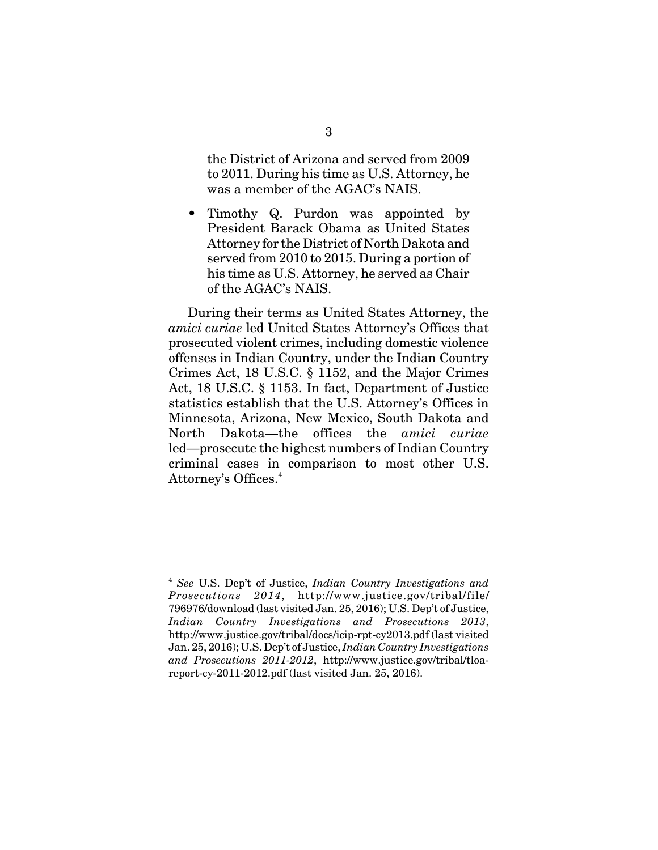the District of Arizona and served from 2009 to 2011. During his time as U.S. Attorney, he was a member of the AGAC's NAIS.

• Timothy Q. Purdon was appointed by President Barack Obama as United States Attorney for the District of North Dakota and served from 2010 to 2015. During a portion of his time as U.S. Attorney, he served as Chair of the AGAC's NAIS.

During their terms as United States Attorney, the *amici curiae* led United States Attorney's Offices that prosecuted violent crimes, including domestic violence offenses in Indian Country, under the Indian Country Crimes Act, 18 U.S.C. § 1152, and the Major Crimes Act, 18 U.S.C. § 1153. In fact, Department of Justice statistics establish that the U.S. Attorney's Offices in Minnesota, Arizona, New Mexico, South Dakota and North Dakota—the offices the *amici curiae* led—prosecute the highest numbers of Indian Country criminal cases in comparison to most other U.S. Attorney's Offices.<sup>4</sup>

<sup>4</sup> *See* U.S. Dep't of Justice, *Indian Country Investigations and Prosecutions 2014*, http://www.justice.gov/tribal/file/ 796976/download (last visited Jan. 25, 2016); U.S. Dep't of Justice, *Indian Country Investigations and Prosecutions 2013*, http://www.justice.gov/tribal/docs/icip-rpt-cy2013.pdf (last visited Jan. 25, 2016); U.S. Dep't of Justice, *Indian Country Investigations and Prosecutions 2011-2012*, http://www.justice.gov/tribal/tloareport-cy-2011-2012.pdf (last visited Jan. 25, 2016).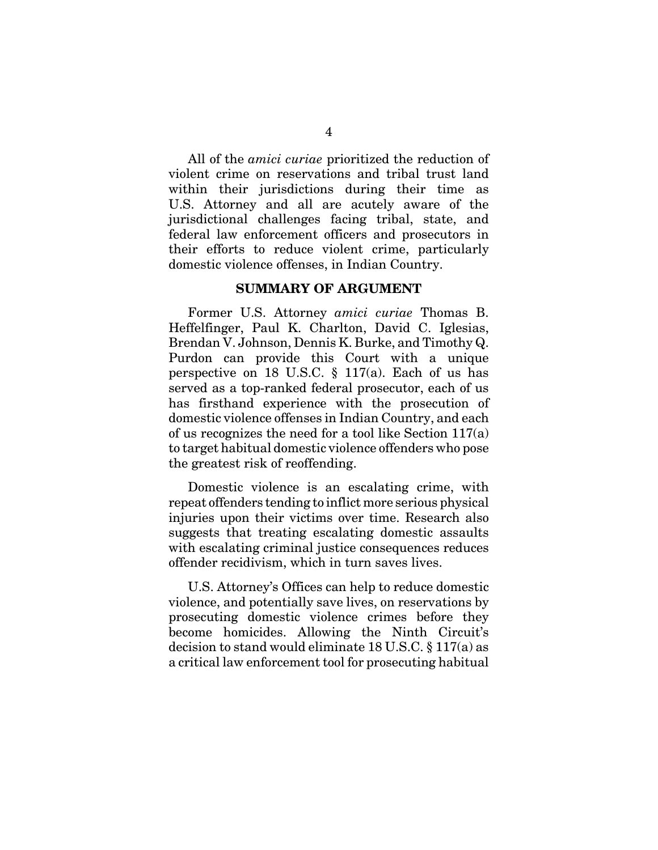All of the *amici curiae* prioritized the reduction of violent crime on reservations and tribal trust land within their jurisdictions during their time as U.S. Attorney and all are acutely aware of the jurisdictional challenges facing tribal, state, and federal law enforcement officers and prosecutors in their efforts to reduce violent crime, particularly domestic violence offenses, in Indian Country.

#### **SUMMARY OF ARGUMENT**

Former U.S. Attorney *amici curiae* Thomas B. Heffelfinger, Paul K. Charlton, David C. Iglesias, Brendan V. Johnson, Dennis K. Burke, and Timothy Q. Purdon can provide this Court with a unique perspective on 18 U.S.C.  $\S$  117(a). Each of us has served as a top-ranked federal prosecutor, each of us has firsthand experience with the prosecution of domestic violence offenses in Indian Country, and each of us recognizes the need for a tool like Section 117(a) to target habitual domestic violence offenders who pose the greatest risk of reoffending.

Domestic violence is an escalating crime, with repeat offenders tending to inflict more serious physical injuries upon their victims over time. Research also suggests that treating escalating domestic assaults with escalating criminal justice consequences reduces offender recidivism, which in turn saves lives.

U.S. Attorney's Offices can help to reduce domestic violence, and potentially save lives, on reservations by prosecuting domestic violence crimes before they become homicides. Allowing the Ninth Circuit's decision to stand would eliminate 18 U.S.C. § 117(a) as a critical law enforcement tool for prosecuting habitual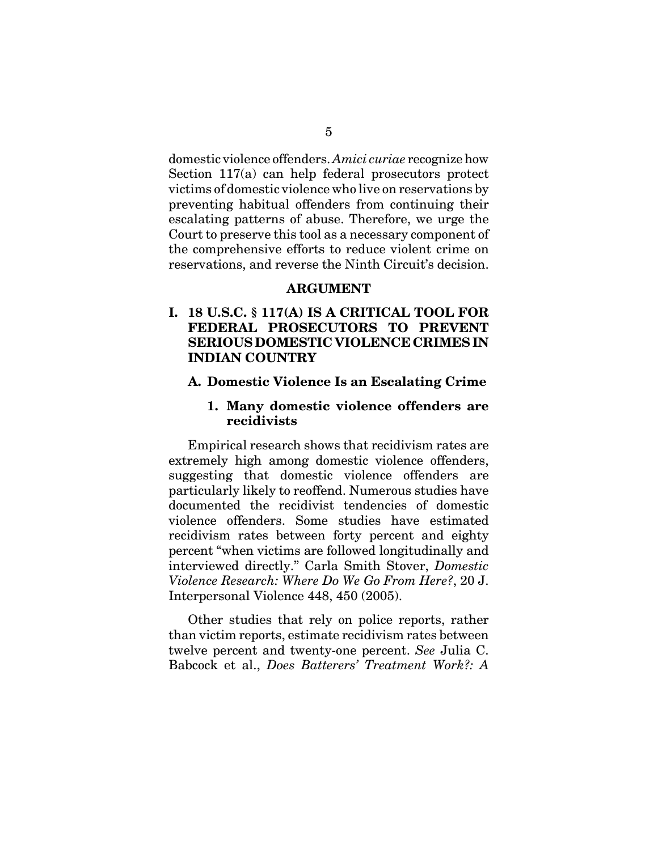domestic violence offenders. *Amici curiae* recognize how Section 117(a) can help federal prosecutors protect victims of domestic violence who live on reservations by preventing habitual offenders from continuing their escalating patterns of abuse. Therefore, we urge the Court to preserve this tool as a necessary component of the comprehensive efforts to reduce violent crime on reservations, and reverse the Ninth Circuit's decision.

#### **ARGUMENT**

### **I. 18 U.S.C. § 117(A) IS A CRITICAL TOOL FOR FEDERAL PROSECUTORS TO PREVENT SERIOUS DOMESTIC VIOLENCE CRIMES IN INDIAN COUNTRY**

#### **A. Domestic Violence Is an Escalating Crime**

#### **1. Many domestic violence offenders are recidivists**

Empirical research shows that recidivism rates are extremely high among domestic violence offenders, suggesting that domestic violence offenders are particularly likely to reoffend. Numerous studies have documented the recidivist tendencies of domestic violence offenders. Some studies have estimated recidivism rates between forty percent and eighty percent "when victims are followed longitudinally and interviewed directly." Carla Smith Stover, *Domestic Violence Research: Where Do We Go From Here?*, 20 J. Interpersonal Violence 448, 450 (2005).

Other studies that rely on police reports, rather than victim reports, estimate recidivism rates between twelve percent and twenty-one percent. *See* Julia C. Babcock et al., *Does Batterers' Treatment Work?: A*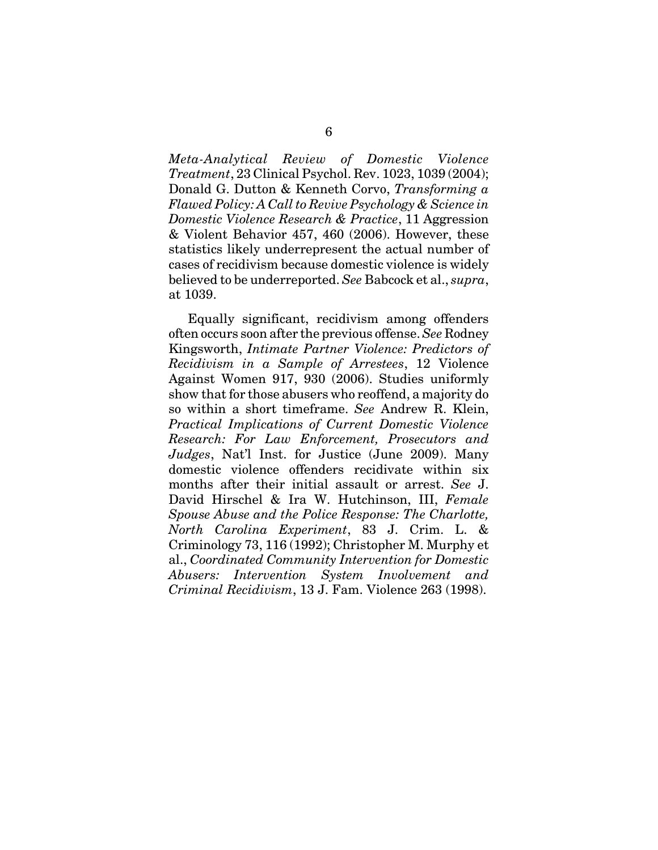*Meta-Analytical Review of Domestic Violence Treatment*, 23 Clinical Psychol. Rev. 1023, 1039 (2004); Donald G. Dutton & Kenneth Corvo, *Transforming a Flawed Policy: A Call to Revive Psychology & Science in Domestic Violence Research & Practice*, 11 Aggression & Violent Behavior 457, 460 (2006). However, these statistics likely underrepresent the actual number of cases of recidivism because domestic violence is widely believed to be underreported. *See* Babcock et al., *supra*, at 1039.

Equally significant, recidivism among offenders often occurs soon after the previous offense. *See* Rodney Kingsworth, *Intimate Partner Violence: Predictors of Recidivism in a Sample of Arrestees*, 12 Violence Against Women 917, 930 (2006). Studies uniformly show that for those abusers who reoffend, a majority do so within a short timeframe. *See* Andrew R. Klein, *Practical Implications of Current Domestic Violence Research: For Law Enforcement, Prosecutors and Judges*, Nat'l Inst. for Justice (June 2009). Many domestic violence offenders recidivate within six months after their initial assault or arrest. *See* J. David Hirschel & Ira W. Hutchinson, III, *Female Spouse Abuse and the Police Response: The Charlotte, North Carolina Experiment*, 83 J. Crim. L. & Criminology 73, 116 (1992); Christopher M. Murphy et al., *Coordinated Community Intervention for Domestic Abusers: Intervention System Involvement and Criminal Recidivism*, 13 J. Fam. Violence 263 (1998).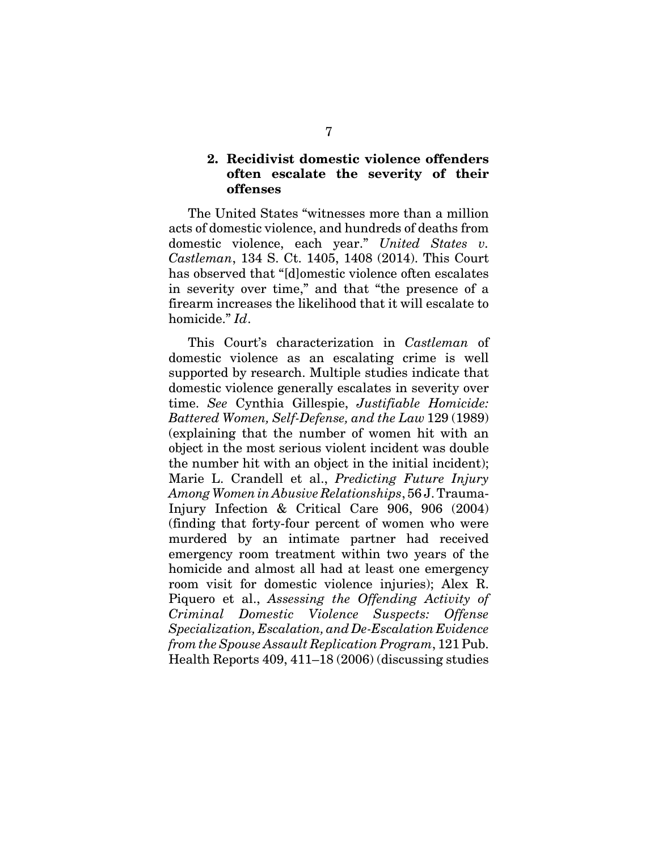### **2. Recidivist domestic violence offenders often escalate the severity of their offenses**

The United States "witnesses more than a million acts of domestic violence, and hundreds of deaths from domestic violence, each year." *United States v. Castleman*, 134 S. Ct. 1405, 1408 (2014). This Court has observed that "[d]omestic violence often escalates in severity over time," and that "the presence of a firearm increases the likelihood that it will escalate to homicide." *Id*.

This Court's characterization in *Castleman* of domestic violence as an escalating crime is well supported by research. Multiple studies indicate that domestic violence generally escalates in severity over time. *See* Cynthia Gillespie, *Justifiable Homicide: Battered Women, Self-Defense, and the Law* 129 (1989) (explaining that the number of women hit with an object in the most serious violent incident was double the number hit with an object in the initial incident); Marie L. Crandell et al., *Predicting Future Injury Among Women in Abusive Relationships*, 56 J. Trauma-Injury Infection & Critical Care 906, 906 (2004) (finding that forty-four percent of women who were murdered by an intimate partner had received emergency room treatment within two years of the homicide and almost all had at least one emergency room visit for domestic violence injuries); Alex R. Piquero et al., *Assessing the Offending Activity of Criminal Domestic Violence Suspects: Offense Specialization, Escalation, and De-Escalation Evidence from the Spouse Assault Replication Program*, 121 Pub. Health Reports 409, 411–18 (2006) (discussing studies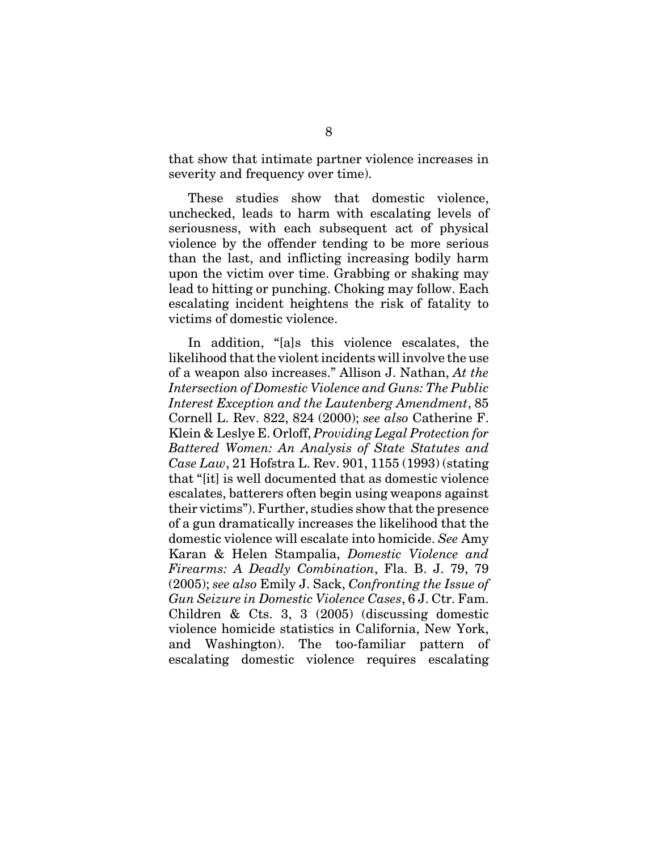that show that intimate partner violence increases in severity and frequency over time).

These studies show that domestic violence, unchecked, leads to harm with escalating levels of seriousness, with each subsequent act of physical violence by the offender tending to be more serious than the last, and inflicting increasing bodily harm upon the victim over time. Grabbing or shaking may lead to hitting or punching. Choking may follow. Each escalating incident heightens the risk of fatality to victims of domestic violence.

In addition, "[a]s this violence escalates, the likelihood that the violent incidents will involve the use of a weapon also increases." Allison J. Nathan, *At the Intersection of Domestic Violence and Guns: The Public Interest Exception and the Lautenberg Amendment*, 85 Cornell L. Rev. 822, 824 (2000); *see also* Catherine F. Klein & Leslye E. Orloff, *Providing Legal Protection for Battered Women: An Analysis of State Statutes and Case Law*, 21 Hofstra L. Rev. 901, 1155 (1993) (stating that "[it] is well documented that as domestic violence escalates, batterers often begin using weapons against their victims"). Further, studies show that the presence of a gun dramatically increases the likelihood that the domestic violence will escalate into homicide. *See* Amy Karan & Helen Stampalia, *Domestic Violence and Firearms: A Deadly Combination*, Fla. B. J. 79, 79 (2005); *see also* Emily J. Sack, *Confronting the Issue of Gun Seizure in Domestic Violence Cases*, 6 J. Ctr. Fam. Children & Cts. 3, 3 (2005) (discussing domestic violence homicide statistics in California, New York, and Washington). The too-familiar pattern of escalating domestic violence requires escalating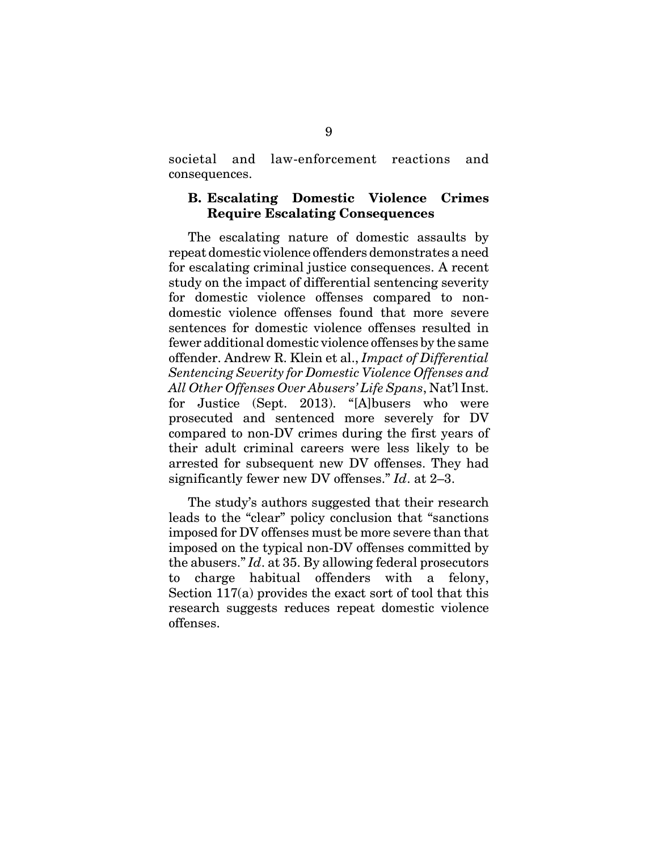societal and law-enforcement reactions and consequences.

#### **B. Escalating Domestic Violence Crimes Require Escalating Consequences**

The escalating nature of domestic assaults by repeat domestic violence offenders demonstrates a need for escalating criminal justice consequences. A recent study on the impact of differential sentencing severity for domestic violence offenses compared to nondomestic violence offenses found that more severe sentences for domestic violence offenses resulted in fewer additional domestic violence offenses by the same offender. Andrew R. Klein et al., *Impact of Differential Sentencing Severity for Domestic Violence Offenses and All Other Offenses Over Abusers' Life Spans*, Nat'l Inst. for Justice (Sept. 2013). "[A]busers who were prosecuted and sentenced more severely for DV compared to non-DV crimes during the first years of their adult criminal careers were less likely to be arrested for subsequent new DV offenses. They had significantly fewer new DV offenses." *Id*. at 2–3.

The study's authors suggested that their research leads to the "clear" policy conclusion that "sanctions imposed for DV offenses must be more severe than that imposed on the typical non-DV offenses committed by the abusers." *Id*. at 35. By allowing federal prosecutors to charge habitual offenders with a felony, Section 117(a) provides the exact sort of tool that this research suggests reduces repeat domestic violence offenses.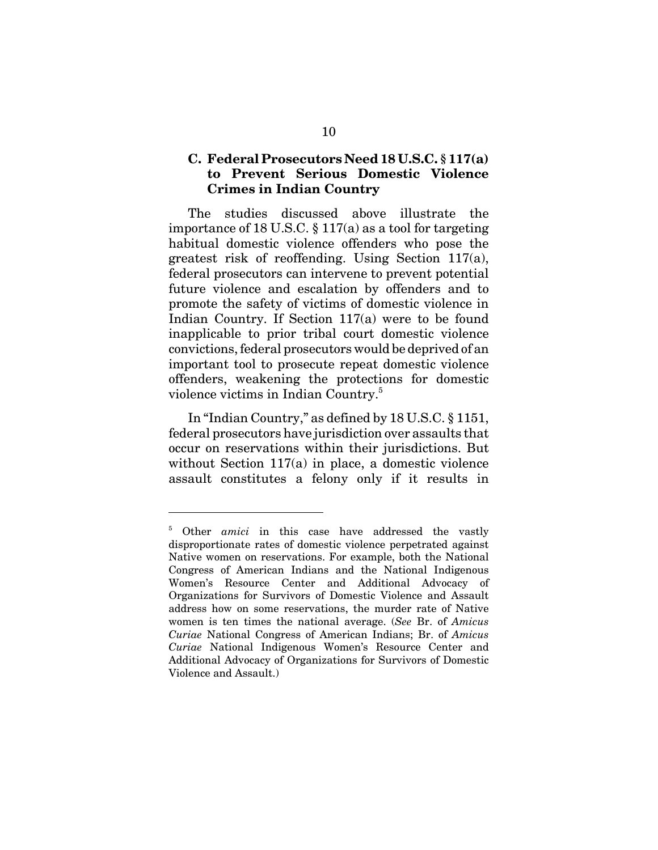### **C. Federal Prosecutors Need 18 U.S.C. § 117(a) to Prevent Serious Domestic Violence Crimes in Indian Country**

The studies discussed above illustrate the importance of 18 U.S.C. § 117(a) as a tool for targeting habitual domestic violence offenders who pose the greatest risk of reoffending. Using Section 117(a), federal prosecutors can intervene to prevent potential future violence and escalation by offenders and to promote the safety of victims of domestic violence in Indian Country. If Section 117(a) were to be found inapplicable to prior tribal court domestic violence convictions, federal prosecutors would be deprived of an important tool to prosecute repeat domestic violence offenders, weakening the protections for domestic violence victims in Indian Country.<sup>5</sup>

In "Indian Country," as defined by 18 U.S.C. § 1151, federal prosecutors have jurisdiction over assaults that occur on reservations within their jurisdictions. But without Section 117(a) in place, a domestic violence assault constitutes a felony only if it results in

<sup>&</sup>lt;sup>5</sup> Other *amici* in this case have addressed the vastly disproportionate rates of domestic violence perpetrated against Native women on reservations. For example, both the National Congress of American Indians and the National Indigenous Women's Resource Center and Additional Advocacy of Organizations for Survivors of Domestic Violence and Assault address how on some reservations, the murder rate of Native women is ten times the national average. (*See* Br. of *Amicus Curiae* National Congress of American Indians; Br. of *Amicus Curiae* National Indigenous Women's Resource Center and Additional Advocacy of Organizations for Survivors of Domestic Violence and Assault.)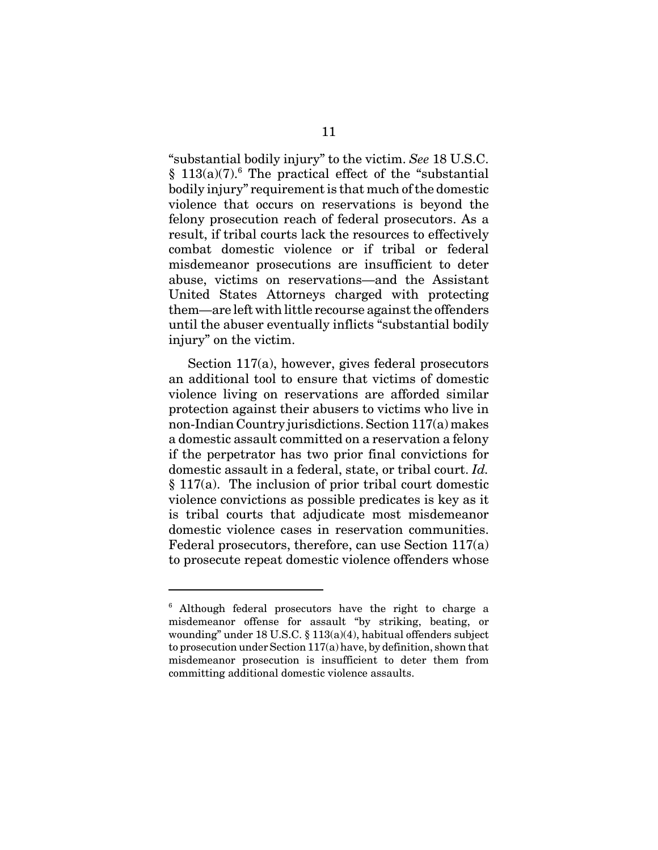"substantial bodily injury" to the victim. *See* 18 U.S.C.  $§$  113(a)(7).<sup>6</sup> The practical effect of the "substantial bodily injury" requirement is that much of the domestic violence that occurs on reservations is beyond the felony prosecution reach of federal prosecutors. As a result, if tribal courts lack the resources to effectively combat domestic violence or if tribal or federal misdemeanor prosecutions are insufficient to deter abuse, victims on reservations—and the Assistant United States Attorneys charged with protecting them—are left with little recourse against the offenders until the abuser eventually inflicts "substantial bodily injury" on the victim.

Section 117(a), however, gives federal prosecutors an additional tool to ensure that victims of domestic violence living on reservations are afforded similar protection against their abusers to victims who live in non-Indian Country jurisdictions. Section 117(a) makes a domestic assault committed on a reservation a felony if the perpetrator has two prior final convictions for domestic assault in a federal, state, or tribal court. *Id.* § 117(a). The inclusion of prior tribal court domestic violence convictions as possible predicates is key as it is tribal courts that adjudicate most misdemeanor domestic violence cases in reservation communities. Federal prosecutors, therefore, can use Section 117(a) to prosecute repeat domestic violence offenders whose

<sup>&</sup>lt;sup>6</sup> Although federal prosecutors have the right to charge a misdemeanor offense for assault "by striking, beating, or wounding" under 18 U.S.C. § 113(a)(4), habitual offenders subject to prosecution under Section 117(a) have, by definition, shown that misdemeanor prosecution is insufficient to deter them from committing additional domestic violence assaults.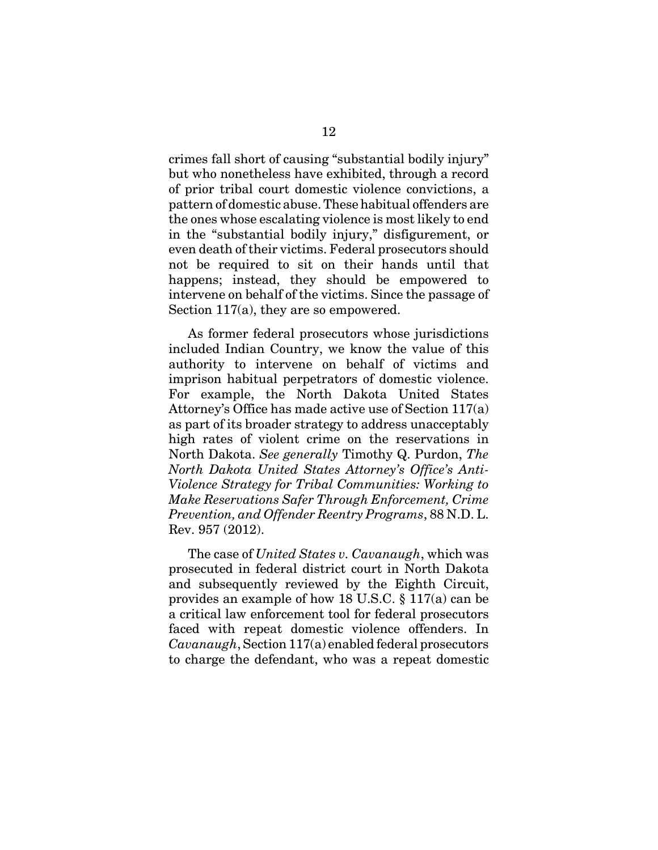crimes fall short of causing "substantial bodily injury" but who nonetheless have exhibited, through a record of prior tribal court domestic violence convictions, a pattern of domestic abuse. These habitual offenders are the ones whose escalating violence is most likely to end in the "substantial bodily injury," disfigurement, or even death of their victims. Federal prosecutors should not be required to sit on their hands until that happens; instead, they should be empowered to intervene on behalf of the victims. Since the passage of Section 117(a), they are so empowered.

As former federal prosecutors whose jurisdictions included Indian Country, we know the value of this authority to intervene on behalf of victims and imprison habitual perpetrators of domestic violence. For example, the North Dakota United States Attorney's Office has made active use of Section 117(a) as part of its broader strategy to address unacceptably high rates of violent crime on the reservations in North Dakota. *See generally* Timothy Q. Purdon, *The North Dakota United States Attorney's Office's Anti-Violence Strategy for Tribal Communities: Working to Make Reservations Safer Through Enforcement, Crime Prevention, and Offender Reentry Programs*, 88 N.D. L. Rev. 957 (2012).

The case of *United States v. Cavanaugh*, which was prosecuted in federal district court in North Dakota and subsequently reviewed by the Eighth Circuit, provides an example of how 18 U.S.C. § 117(a) can be a critical law enforcement tool for federal prosecutors faced with repeat domestic violence offenders. In *Cavanaugh*, Section 117(a) enabled federal prosecutors to charge the defendant, who was a repeat domestic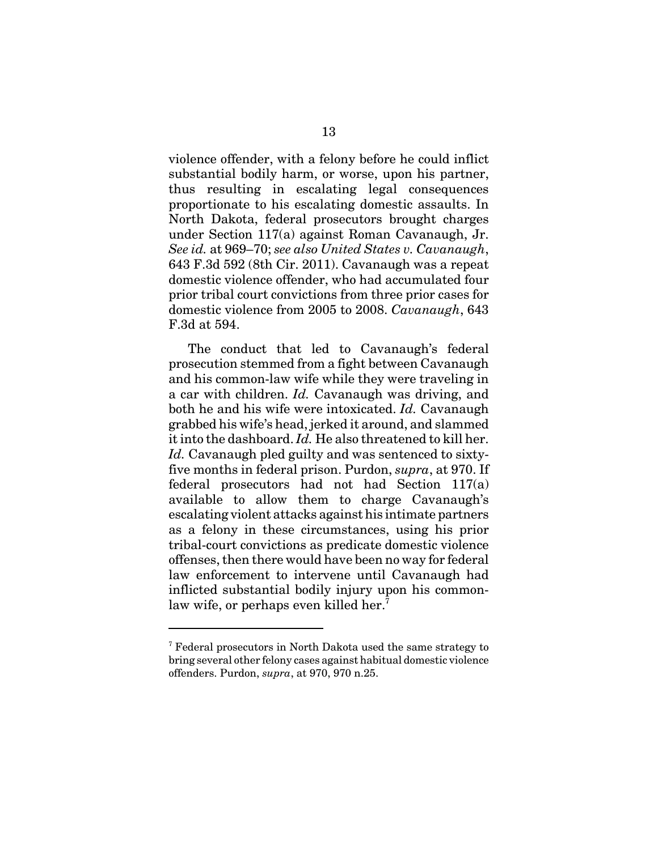violence offender, with a felony before he could inflict substantial bodily harm, or worse, upon his partner, thus resulting in escalating legal consequences proportionate to his escalating domestic assaults. In North Dakota, federal prosecutors brought charges under Section 117(a) against Roman Cavanaugh, Jr. *See id.* at 969–70; *see also United States v. Cavanaugh*, 643 F.3d 592 (8th Cir. 2011). Cavanaugh was a repeat domestic violence offender, who had accumulated four prior tribal court convictions from three prior cases for domestic violence from 2005 to 2008. *Cavanaugh*, 643 F.3d at 594.

The conduct that led to Cavanaugh's federal prosecution stemmed from a fight between Cavanaugh and his common-law wife while they were traveling in a car with children. *Id.* Cavanaugh was driving, and both he and his wife were intoxicated. *Id.* Cavanaugh grabbed his wife's head, jerked it around, and slammed it into the dashboard. *Id.* He also threatened to kill her. *Id.* Cavanaugh pled guilty and was sentenced to sixtyfive months in federal prison. Purdon, *supra*, at 970. If federal prosecutors had not had Section 117(a) available to allow them to charge Cavanaugh's escalating violent attacks against his intimate partners as a felony in these circumstances, using his prior tribal-court convictions as predicate domestic violence offenses, then there would have been no way for federal law enforcement to intervene until Cavanaugh had inflicted substantial bodily injury upon his commonlaw wife, or perhaps even killed her.<sup>7</sup>

<sup>&</sup>lt;sup>7</sup> Federal prosecutors in North Dakota used the same strategy to bring several other felony cases against habitual domestic violence offenders. Purdon, *supra*, at 970, 970 n.25.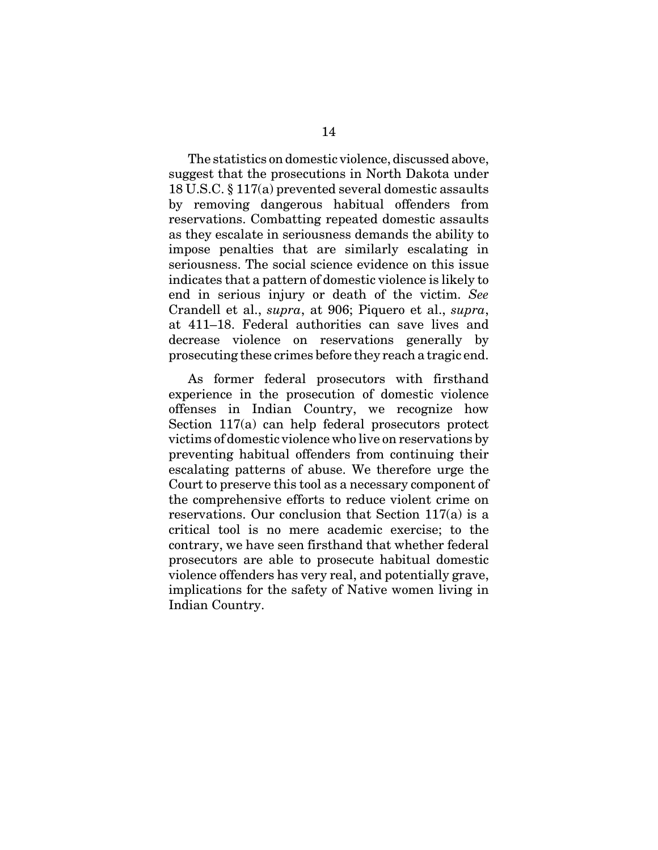The statistics on domestic violence, discussed above, suggest that the prosecutions in North Dakota under 18 U.S.C. § 117(a) prevented several domestic assaults by removing dangerous habitual offenders from reservations. Combatting repeated domestic assaults as they escalate in seriousness demands the ability to impose penalties that are similarly escalating in seriousness. The social science evidence on this issue indicates that a pattern of domestic violence is likely to end in serious injury or death of the victim. *See* Crandell et al., *supra*, at 906; Piquero et al., *supra*, at 411–18. Federal authorities can save lives and decrease violence on reservations generally by prosecuting these crimes before they reach a tragic end.

As former federal prosecutors with firsthand experience in the prosecution of domestic violence offenses in Indian Country, we recognize how Section 117(a) can help federal prosecutors protect victims of domestic violence who live on reservations by preventing habitual offenders from continuing their escalating patterns of abuse. We therefore urge the Court to preserve this tool as a necessary component of the comprehensive efforts to reduce violent crime on reservations. Our conclusion that Section 117(a) is a critical tool is no mere academic exercise; to the contrary, we have seen firsthand that whether federal prosecutors are able to prosecute habitual domestic violence offenders has very real, and potentially grave, implications for the safety of Native women living in Indian Country.